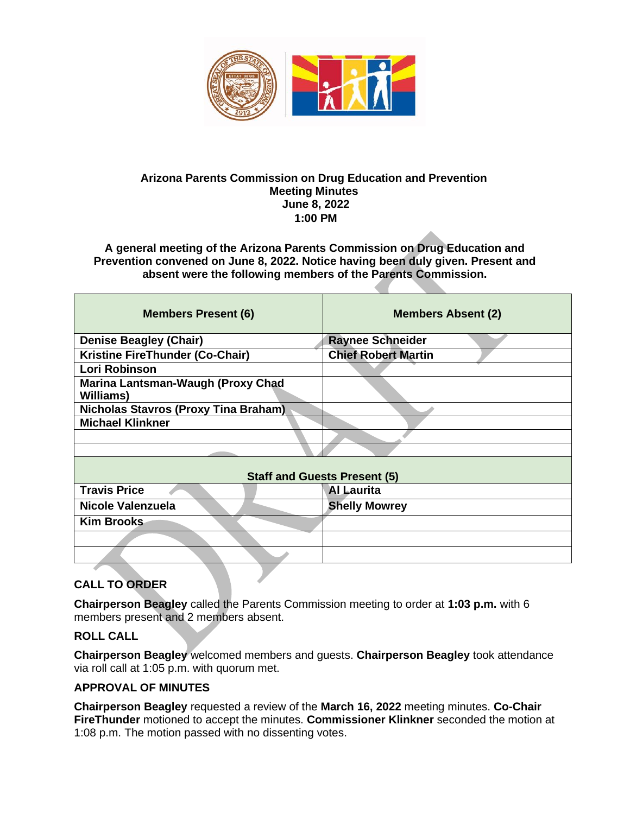

#### **Arizona Parents Commission on Drug Education and Prevention Meeting Minutes June 8, 2022 1:00 PM**

**A general meeting of the Arizona Parents Commission on Drug Education and Prevention convened on June 8, 2022. Notice having been duly given. Present and absent were the following members of the Parents Commission.** 

| <b>Members Present (6)</b>                            | <b>Members Absent (2)</b>  |
|-------------------------------------------------------|----------------------------|
| <b>Denise Beagley (Chair)</b>                         | <b>Raynee Schneider</b>    |
| Kristine FireThunder (Co-Chair)                       | <b>Chief Robert Martin</b> |
| Lori Robinson                                         |                            |
| Marina Lantsman-Waugh (Proxy Chad<br><b>Williams)</b> |                            |
| <b>Nicholas Stavros (Proxy Tina Braham)</b>           |                            |
| <b>Michael Klinkner</b>                               |                            |
|                                                       |                            |
|                                                       |                            |
| <b>Staff and Guests Present (5)</b>                   |                            |
| <b>Travis Price</b>                                   | <b>Al Laurita</b>          |
| Nicole Valenzuela                                     | <b>Shelly Mowrey</b>       |
| <b>Kim Brooks</b>                                     |                            |
|                                                       |                            |
|                                                       |                            |
| TA ABBEB                                              |                            |

## **CALL TO ORDER**

**Chairperson Beagley** called the Parents Commission meeting to order at **1:03 p.m.** with 6 members present and 2 members absent.

#### **ROLL CALL**

**Chairperson Beagley** welcomed members and guests. **Chairperson Beagley** took attendance via roll call at 1:05 p.m. with quorum met.

#### **APPROVAL OF MINUTES**

**Chairperson Beagley** requested a review of the **March 16, 2022** meeting minutes. **Co-Chair FireThunder** motioned to accept the minutes. **Commissioner Klinkner** seconded the motion at 1:08 p.m. The motion passed with no dissenting votes.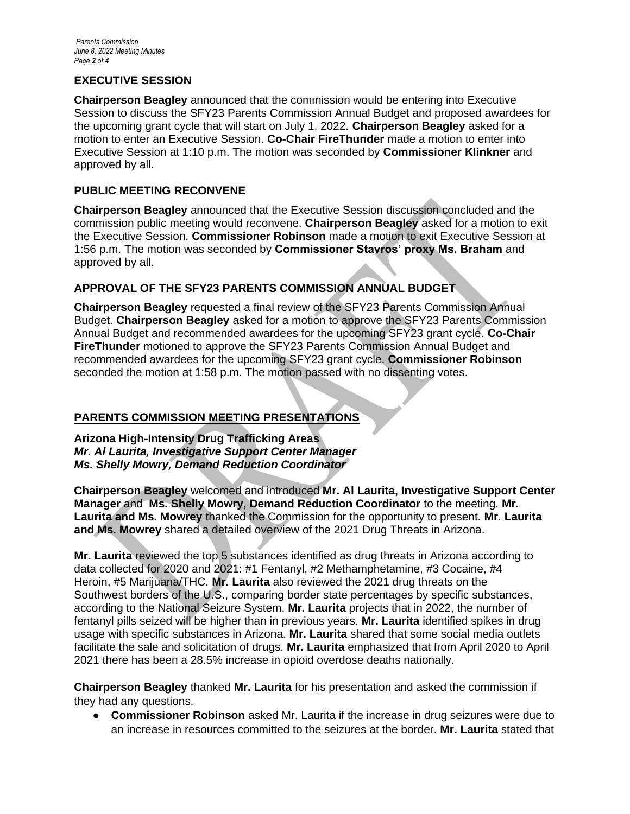#### **EXECUTIVE SESSION**

**Chairperson Beagley** announced that the commission would be entering into Executive Session to discuss the SFY23 Parents Commission Annual Budget and proposed awardees for the upcoming grant cycle that will start on July 1, 2022. **Chairperson Beagley** asked for a motion to enter an Executive Session. **Co-Chair FireThunder** made a motion to enter into Executive Session at 1:10 p.m. The motion was seconded by **Commissioner Klinkner** and approved by all.

#### **PUBLIC MEETING RECONVENE**

**Chairperson Beagley** announced that the Executive Session discussion concluded and the commission public meeting would reconvene. **Chairperson Beagley** asked for a motion to exit the Executive Session. **Commissioner Robinson** made a motion to exit Executive Session at 1:56 p.m. The motion was seconded by **Commissioner Stavros' proxy Ms. Braham** and approved by all.

### **APPROVAL OF THE SFY23 PARENTS COMMISSION ANNUAL BUDGET**

**Chairperson Beagley** requested a final review of the SFY23 Parents Commission Annual Budget. **Chairperson Beagley** asked for a motion to approve the SFY23 Parents Commission Annual Budget and recommended awardees for the upcoming SFY23 grant cycle. **Co-Chair FireThunder** motioned to approve the SFY23 Parents Commission Annual Budget and recommended awardees for the upcoming SFY23 grant cycle. **Commissioner Robinson**  seconded the motion at 1:58 p.m. The motion passed with no dissenting votes.

## **PARENTS COMMISSION MEETING PRESENTATIONS**

**Arizona High**-**Intensity Drug Trafficking Areas** *Mr. Al Laurita, Investigative Support Center Manager Ms. Shelly Mowry, Demand Reduction Coordinator*

**Chairperson Beagley** welcomed and introduced **Mr. Al Laurita, Investigative Support Center Manager** and **Ms. Shelly Mowry, Demand Reduction Coordinator** to the meeting. **Mr. Laurita and Ms. Mowrey** thanked the Commission for the opportunity to present. **Mr. Laurita and Ms. Mowrey** shared a detailed overview of the 2021 Drug Threats in Arizona.

**Mr. Laurita** reviewed the top 5 substances identified as drug threats in Arizona according to data collected for 2020 and 2021: #1 Fentanyl, #2 Methamphetamine, #3 Cocaine, #4 Heroin, #5 Marijuana/THC. **Mr. Laurita** also reviewed the 2021 drug threats on the Southwest borders of the U.S., comparing border state percentages by specific substances, according to the National Seizure System. **Mr. Laurita** projects that in 2022, the number of fentanyl pills seized will be higher than in previous years. **Mr. Laurita** identified spikes in drug usage with specific substances in Arizona. **Mr. Laurita** shared that some social media outlets facilitate the sale and solicitation of drugs. **Mr. Laurita** emphasized that from April 2020 to April 2021 there has been a 28.5% increase in opioid overdose deaths nationally.

**Chairperson Beagley** thanked **Mr. Laurita** for his presentation and asked the commission if they had any questions.

● **Commissioner Robinson** asked Mr. Laurita if the increase in drug seizures were due to an increase in resources committed to the seizures at the border. **Mr. Laurita** stated that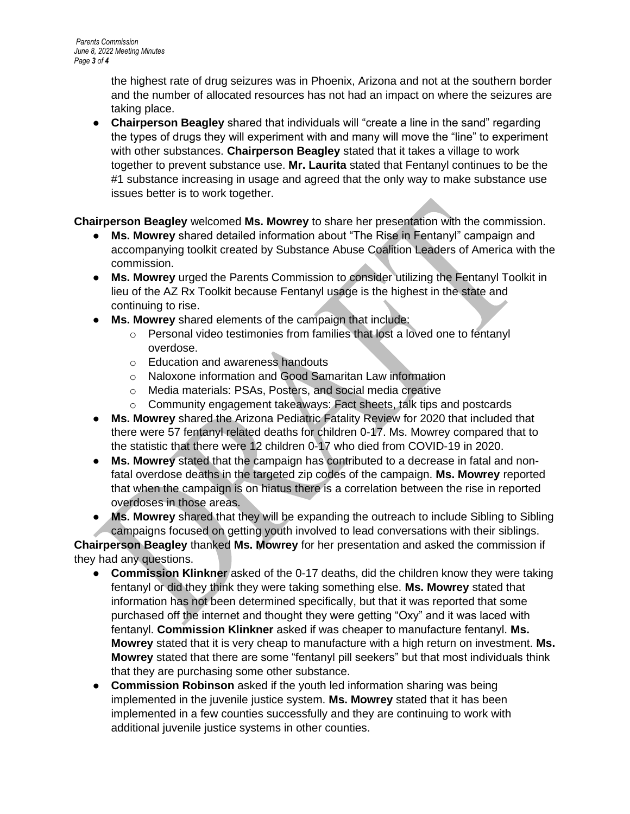the highest rate of drug seizures was in Phoenix, Arizona and not at the southern border and the number of allocated resources has not had an impact on where the seizures are taking place.

● **Chairperson Beagley** shared that individuals will "create a line in the sand" regarding the types of drugs they will experiment with and many will move the "line" to experiment with other substances. **Chairperson Beagley** stated that it takes a village to work together to prevent substance use. **Mr. Laurita** stated that Fentanyl continues to be the #1 substance increasing in usage and agreed that the only way to make substance use issues better is to work together.

## **Chairperson Beagley** welcomed **Ms. Mowrey** to share her presentation with the commission.

- **Ms. Mowrey** shared detailed information about "The Rise in Fentanyl" campaign and accompanying toolkit created by Substance Abuse Coalition Leaders of America with the commission.
- **Ms. Mowrey** urged the Parents Commission to consider utilizing the Fentanyl Toolkit in lieu of the AZ Rx Toolkit because Fentanyl usage is the highest in the state and continuing to rise.
- **Ms. Mowrey** shared elements of the campaign that include:
	- o Personal video testimonies from families that lost a loved one to fentanyl overdose.
	- o Education and awareness handouts
	- o Naloxone information and Good Samaritan Law information
	- o Media materials: PSAs, Posters, and social media creative
	- o Community engagement takeaways: Fact sheets, talk tips and postcards
- **Ms. Mowrey** shared the Arizona Pediatric Fatality Review for 2020 that included that there were 57 fentanyl related deaths for children 0-17. Ms. Mowrey compared that to the statistic that there were 12 children 0-17 who died from COVID-19 in 2020.
- **Ms. Mowrey** stated that the campaign has contributed to a decrease in fatal and nonfatal overdose deaths in the targeted zip codes of the campaign. **Ms. Mowrey** reported that when the campaign is on hiatus there is a correlation between the rise in reported overdoses in those areas.
- **Ms. Mowrey** shared that they will be expanding the outreach to include Sibling to Sibling campaigns focused on getting youth involved to lead conversations with their siblings.

**Chairperson Beagley** thanked **Ms. Mowrey** for her presentation and asked the commission if they had any questions.

- **Commission Klinkner** asked of the 0-17 deaths, did the children know they were taking fentanyl or did they think they were taking something else. **Ms. Mowrey** stated that information has not been determined specifically, but that it was reported that some purchased off the internet and thought they were getting "Oxy" and it was laced with fentanyl. **Commission Klinkner** asked if was cheaper to manufacture fentanyl. **Ms. Mowrey** stated that it is very cheap to manufacture with a high return on investment. **Ms. Mowrey** stated that there are some "fentanyl pill seekers" but that most individuals think that they are purchasing some other substance.
- **Commission Robinson** asked if the youth led information sharing was being implemented in the juvenile justice system. **Ms. Mowrey** stated that it has been implemented in a few counties successfully and they are continuing to work with additional juvenile justice systems in other counties.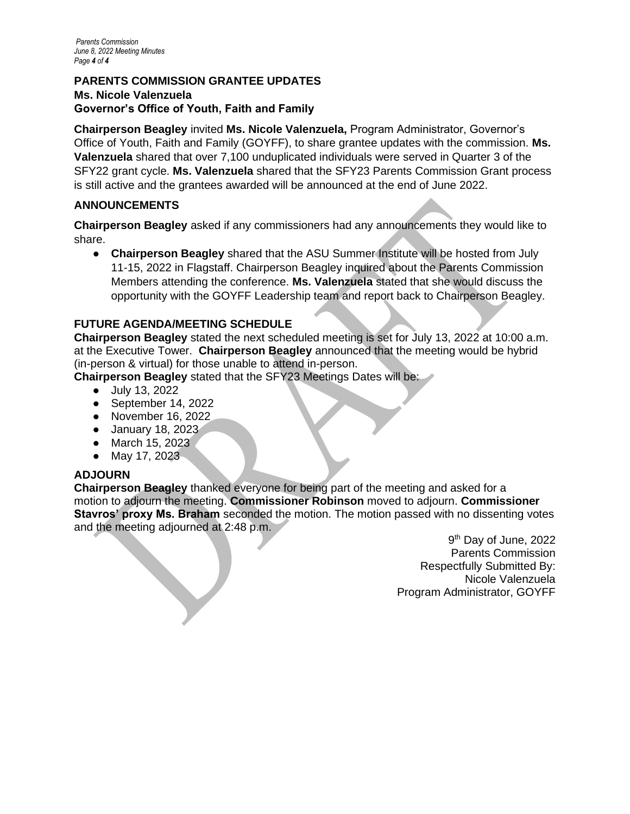#### **PARENTS COMMISSION GRANTEE UPDATES Ms. Nicole Valenzuela Governor's Office of Youth, Faith and Family**

**Chairperson Beagley** invited **Ms. Nicole Valenzuela,** Program Administrator, Governor's Office of Youth, Faith and Family (GOYFF), to share grantee updates with the commission. **Ms. Valenzuela** shared that over 7,100 unduplicated individuals were served in Quarter 3 of the SFY22 grant cycle. **Ms. Valenzuela** shared that the SFY23 Parents Commission Grant process is still active and the grantees awarded will be announced at the end of June 2022.

## **ANNOUNCEMENTS**

**Chairperson Beagley** asked if any commissioners had any announcements they would like to share.

● **Chairperson Beagley** shared that the ASU Summer Institute will be hosted from July 11-15, 2022 in Flagstaff. Chairperson Beagley inquired about the Parents Commission Members attending the conference. **Ms. Valenzuela** stated that she would discuss the opportunity with the GOYFF Leadership team and report back to Chairperson Beagley.

## **FUTURE AGENDA/MEETING SCHEDULE**

**Chairperson Beagley** stated the next scheduled meeting is set for July 13, 2022 at 10:00 a.m. at the Executive Tower. **Chairperson Beagley** announced that the meeting would be hybrid (in-person & virtual) for those unable to attend in-person.

**Chairperson Beagley** stated that the SFY23 Meetings Dates will be:

- July 13, 2022
- September 14, 2022
- November 16, 2022
- January 18, 2023
- March 15, 2023
- May 17, 2023

# **ADJOURN**

**Chairperson Beagley** thanked everyone for being part of the meeting and asked for a motion to adjourn the meeting. **Commissioner Robinson** moved to adjourn. **Commissioner Stavros' proxy Ms. Braham** seconded the motion. The motion passed with no dissenting votes and the meeting adjourned at 2:48 p.m.

9<sup>th</sup> Day of June, 2022 Parents Commission Respectfully Submitted By: Nicole Valenzuela Program Administrator, GOYFF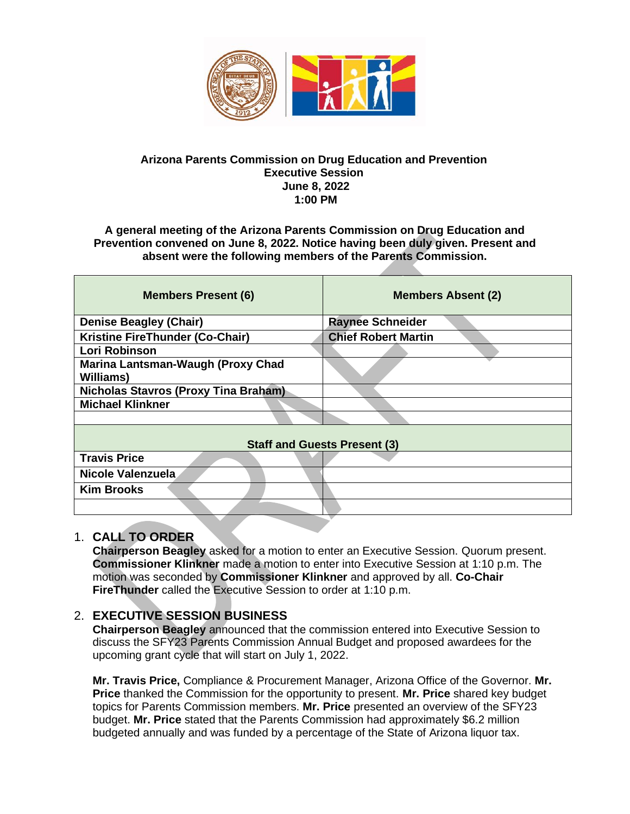

#### **Arizona Parents Commission on Drug Education and Prevention Executive Session June 8, 2022 1:00 PM**

#### **A general meeting of the Arizona Parents Commission on Drug Education and Prevention convened on June 8, 2022. Notice having been duly given. Present and absent were the following members of the Parents Commission.**

| <b>Members Present (6)</b>                            | <b>Members Absent (2)</b>  |
|-------------------------------------------------------|----------------------------|
| <b>Denise Beagley (Chair)</b>                         | <b>Raynee Schneider</b>    |
| Kristine FireThunder (Co-Chair)                       | <b>Chief Robert Martin</b> |
| Lori Robinson                                         |                            |
| Marina Lantsman-Waugh (Proxy Chad<br><b>Williams)</b> |                            |
| <b>Nicholas Stavros (Proxy Tina Braham)</b>           |                            |
| <b>Michael Klinkner</b>                               |                            |
|                                                       |                            |
| <b>Staff and Guests Present (3)</b>                   |                            |
| <b>Travis Price</b>                                   |                            |
| Nicole Valenzuela                                     |                            |
| <b>Kim Brooks</b>                                     |                            |
|                                                       |                            |
|                                                       |                            |

## 1. **CALL TO ORDER**

**Chairperson Beagley** asked for a motion to enter an Executive Session. Quorum present. **Commissioner Klinkner** made a motion to enter into Executive Session at 1:10 p.m. The motion was seconded by **Commissioner Klinkner** and approved by all. **Co-Chair FireThunder** called the Executive Session to order at 1:10 p.m.

## 2. **EXECUTIVE SESSION BUSINESS**

**Chairperson Beagley** announced that the commission entered into Executive Session to discuss the SFY23 Parents Commission Annual Budget and proposed awardees for the upcoming grant cycle that will start on July 1, 2022.

**Mr. Travis Price,** Compliance & Procurement Manager, Arizona Office of the Governor. **Mr. Price** thanked the Commission for the opportunity to present. **Mr. Price** shared key budget topics for Parents Commission members. **Mr. Price** presented an overview of the SFY23 budget. **Mr. Price** stated that the Parents Commission had approximately \$6.2 million budgeted annually and was funded by a percentage of the State of Arizona liquor tax.